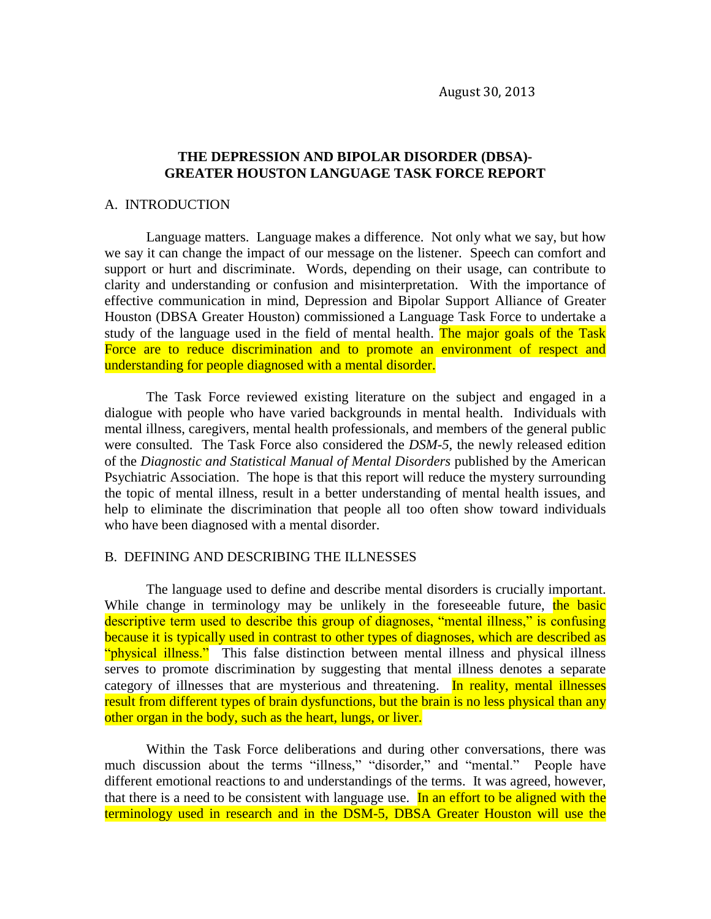## **THE DEPRESSION AND BIPOLAR DISORDER (DBSA)- GREATER HOUSTON LANGUAGE TASK FORCE REPORT**

#### A. INTRODUCTION

Language matters. Language makes a difference. Not only what we say, but how we say it can change the impact of our message on the listener. Speech can comfort and support or hurt and discriminate. Words, depending on their usage, can contribute to clarity and understanding or confusion and misinterpretation. With the importance of effective communication in mind, Depression and Bipolar Support Alliance of Greater Houston (DBSA Greater Houston) commissioned a Language Task Force to undertake a study of the language used in the field of mental health. The major goals of the Task Force are to reduce discrimination and to promote an environment of respect and understanding for people diagnosed with a mental disorder.

The Task Force reviewed existing literature on the subject and engaged in a dialogue with people who have varied backgrounds in mental health. Individuals with mental illness, caregivers, mental health professionals, and members of the general public were consulted. The Task Force also considered the *DSM-5*, the newly released edition of the *Diagnostic and Statistical Manual of Mental Disorders* published by the American Psychiatric Association. The hope is that this report will reduce the mystery surrounding the topic of mental illness, result in a better understanding of mental health issues, and help to eliminate the discrimination that people all too often show toward individuals who have been diagnosed with a mental disorder.

#### B. DEFINING AND DESCRIBING THE ILLNESSES

The language used to define and describe mental disorders is crucially important. While change in terminology may be unlikely in the foreseeable future, the basic descriptive term used to describe this group of diagnoses, "mental illness," is confusing because it is typically used in contrast to other types of diagnoses, which are described as "physical illness." This false distinction between mental illness and physical illness serves to promote discrimination by suggesting that mental illness denotes a separate category of illnesses that are mysterious and threatening. In reality, mental illnesses result from different types of brain dysfunctions, but the brain is no less physical than any other organ in the body, such as the heart, lungs, or liver.

Within the Task Force deliberations and during other conversations, there was much discussion about the terms "illness," "disorder," and "mental." People have different emotional reactions to and understandings of the terms. It was agreed, however, that there is a need to be consistent with language use. In an effort to be aligned with the terminology used in research and in the DSM-5, DBSA Greater Houston will use the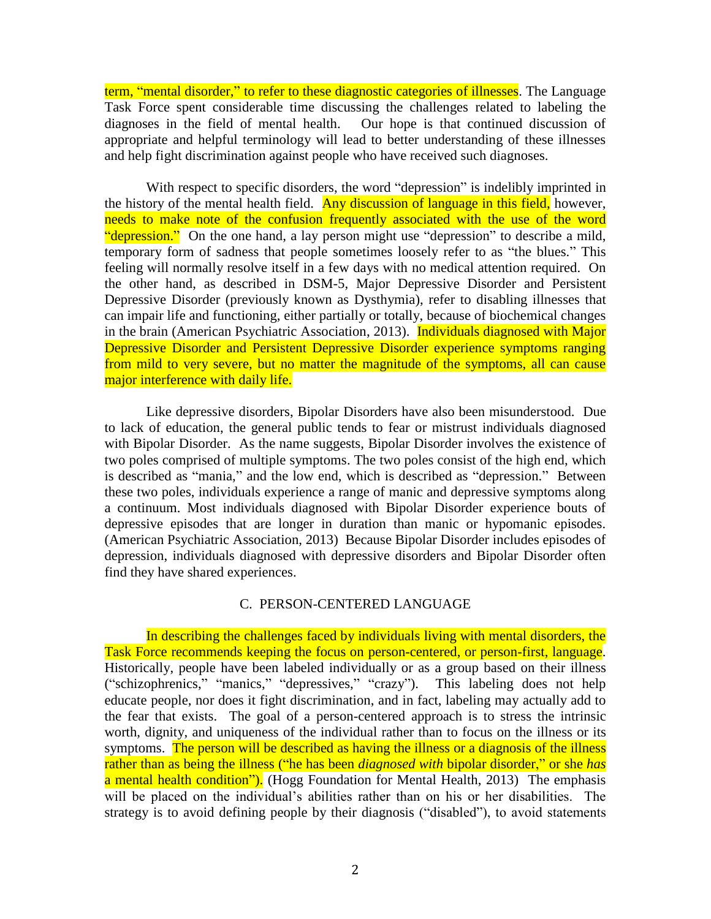term, "mental disorder," to refer to these diagnostic categories of illnesses. The Language Task Force spent considerable time discussing the challenges related to labeling the diagnoses in the field of mental health. Our hope is that continued discussion of appropriate and helpful terminology will lead to better understanding of these illnesses and help fight discrimination against people who have received such diagnoses.

With respect to specific disorders, the word "depression" is indelibly imprinted in the history of the mental health field. Any discussion of language in this field, however, needs to make note of the confusion frequently associated with the use of the word "depression." On the one hand, a lay person might use "depression" to describe a mild, temporary form of sadness that people sometimes loosely refer to as "the blues." This feeling will normally resolve itself in a few days with no medical attention required. On the other hand, as described in DSM-5, Major Depressive Disorder and Persistent Depressive Disorder (previously known as Dysthymia), refer to disabling illnesses that can impair life and functioning, either partially or totally, because of biochemical changes in the brain (American Psychiatric Association, 2013). Individuals diagnosed with Major Depressive Disorder and Persistent Depressive Disorder experience symptoms ranging from mild to very severe, but no matter the magnitude of the symptoms, all can cause major interference with daily life.

Like depressive disorders, Bipolar Disorders have also been misunderstood. Due to lack of education, the general public tends to fear or mistrust individuals diagnosed with Bipolar Disorder. As the name suggests, Bipolar Disorder involves the existence of two poles comprised of multiple symptoms. The two poles consist of the high end, which is described as "mania," and the low end, which is described as "depression." Between these two poles, individuals experience a range of manic and depressive symptoms along a continuum. Most individuals diagnosed with Bipolar Disorder experience bouts of depressive episodes that are longer in duration than manic or hypomanic episodes. (American Psychiatric Association, 2013) Because Bipolar Disorder includes episodes of depression, individuals diagnosed with depressive disorders and Bipolar Disorder often find they have shared experiences.

## C. PERSON-CENTERED LANGUAGE

In describing the challenges faced by individuals living with mental disorders, the Task Force recommends keeping the focus on person-centered, or person-first, language. Historically, people have been labeled individually or as a group based on their illness ("schizophrenics," "manics," "depressives," "crazy"). This labeling does not help educate people, nor does it fight discrimination, and in fact, labeling may actually add to the fear that exists. The goal of a person-centered approach is to stress the intrinsic worth, dignity, and uniqueness of the individual rather than to focus on the illness or its symptoms. The person will be described as having the illness or a diagnosis of the illness rather than as being the illness ("he has been *diagnosed with* bipolar disorder," or she *has* a mental health condition"). (Hogg Foundation for Mental Health, 2013) The emphasis will be placed on the individual's abilities rather than on his or her disabilities. The strategy is to avoid defining people by their diagnosis ("disabled"), to avoid statements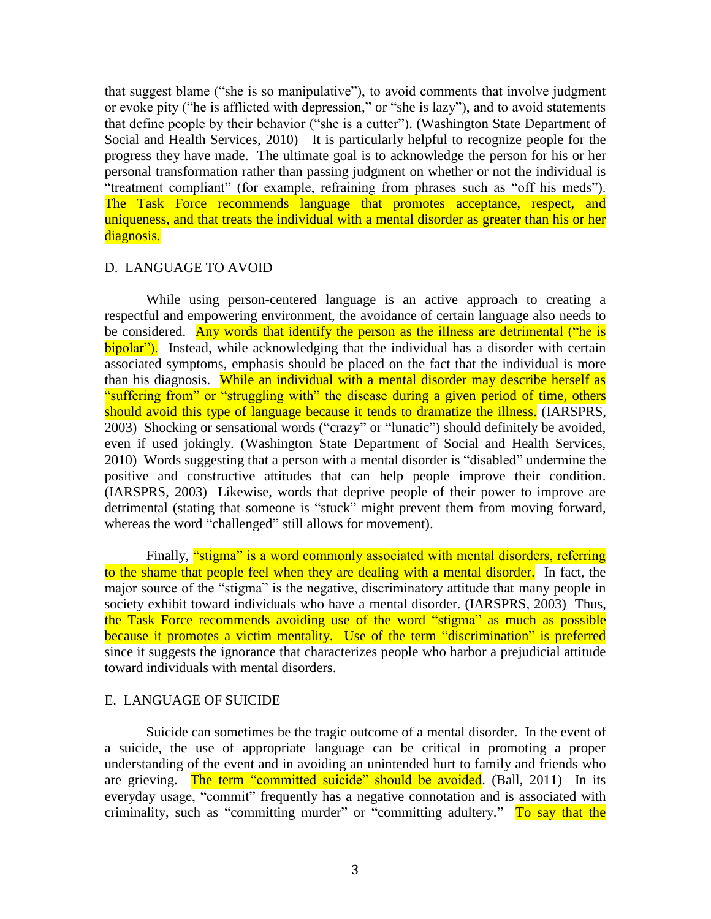that suggest blame ("she is so manipulative"), to avoid comments that involve judgment or evoke pity ("he is afflicted with depression," or "she is lazy"), and to avoid statements that define people by their behavior ("she is a cutter"). (Washington State Department of Social and Health Services, 2010) It is particularly helpful to recognize people for the progress they have made. The ultimate goal is to acknowledge the person for his or her personal transformation rather than passing judgment on whether or not the individual is "treatment compliant" (for example, refraining from phrases such as "off his meds"). The Task Force recommends language that promotes acceptance, respect, and uniqueness, and that treats the individual with a mental disorder as greater than his or her diagnosis.

## D. LANGUAGE TO AVOID

While using person-centered language is an active approach to creating a respectful and empowering environment, the avoidance of certain language also needs to be considered. Any words that identify the person as the illness are detrimental ("he is bipolar<sup>"</sup>). Instead, while acknowledging that the individual has a disorder with certain associated symptoms, emphasis should be placed on the fact that the individual is more than his diagnosis. While an individual with a mental disorder may describe herself as "suffering from" or "struggling with" the disease during a given period of time, others should avoid this type of language because it tends to dramatize the illness. (IARSPRS, 2003) Shocking or sensational words ("crazy" or "lunatic") should definitely be avoided, even if used jokingly. (Washington State Department of Social and Health Services, 2010) Words suggesting that a person with a mental disorder is "disabled" undermine the positive and constructive attitudes that can help people improve their condition. (IARSPRS, 2003) Likewise, words that deprive people of their power to improve are detrimental (stating that someone is "stuck" might prevent them from moving forward, whereas the word "challenged" still allows for movement).

Finally, "stigma" is a word commonly associated with mental disorders, referring to the shame that people feel when they are dealing with a mental disorder. In fact, the major source of the "stigma" is the negative, discriminatory attitude that many people in society exhibit toward individuals who have a mental disorder. (IARSPRS, 2003) Thus, the Task Force recommends avoiding use of the word "stigma" as much as possible because it promotes a victim mentality. Use of the term "discrimination" is preferred since it suggests the ignorance that characterizes people who harbor a prejudicial attitude toward individuals with mental disorders.

## E. LANGUAGE OF SUICIDE

Suicide can sometimes be the tragic outcome of a mental disorder. In the event of a suicide, the use of appropriate language can be critical in promoting a proper understanding of the event and in avoiding an unintended hurt to family and friends who are grieving. The term "committed suicide" should be avoided. (Ball, 2011) In its everyday usage, "commit" frequently has a negative connotation and is associated with criminality, such as "committing murder" or "committing adultery." To say that the